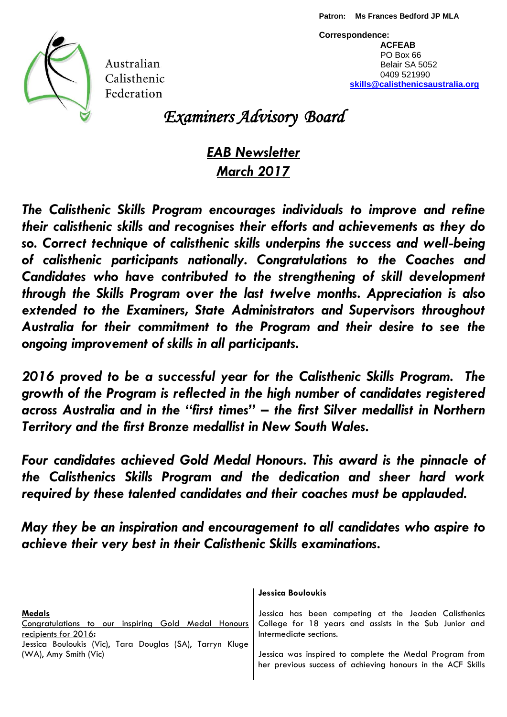

Australian Calisthenic Federation

**Correspondence: ACFEAB** PO Box 66 Belair SA 5052 0409 521990  **[skills@calisthenicsaustralia.org](mailto:skills@calisthenicsaustralia.org)**

*Examiners Advisory Board*

# *EAB Newsletter March 2017*

*The Calisthenic Skills Program encourages individuals to improve and refine their calisthenic skills and recognises their efforts and achievements as they do so. Correct technique of calisthenic skills underpins the success and well-being of calisthenic participants nationally. Congratulations to the Coaches and Candidates who have contributed to the strengthening of skill development through the Skills Program over the last twelve months. Appreciation is also extended to the Examiners, State Administrators and Supervisors throughout Australia for their commitment to the Program and their desire to see the ongoing improvement of skills in all participants.*

*2016 proved to be a successful year for the Calisthenic Skills Program. The growth of the Program is reflected in the high number of candidates registered across Australia and in the "first times" – the first Silver medallist in Northern Territory and the first Bronze medallist in New South Wales.* 

*Four candidates achieved Gold Medal Honours. This award is the pinnacle of the Calisthenics Skills Program and the dedication and sheer hard work required by these talented candidates and their coaches must be applauded.* 

*May they be an inspiration and encouragement to all candidates who aspire to achieve their very best in their Calisthenic Skills examinations.*

|                                                                                   | Jessica Bouloukis                                                                |
|-----------------------------------------------------------------------------------|----------------------------------------------------------------------------------|
| <b>Medals</b>                                                                     | Jessica has been competing at the Jeaden Calisthenics                            |
| Congratulations to our inspiring Gold Medal Honours<br>recipients for 2016:       | College for 18 years and assists in the Sub Junior and<br>Intermediate sections. |
| Jessica Bouloukis (Vic), Tara Douglas (SA), Tarryn Kluge<br>(WA), Amy Smith (Vic) | Jessica was inspired to complete the Medal Program from                          |
|                                                                                   | her previous success of achieving honours in the ACF Skills                      |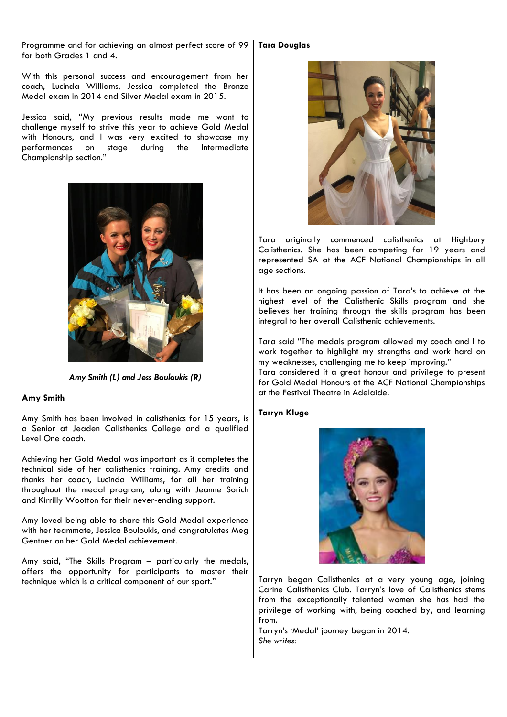Programme and for achieving an almost perfect score of 99 for both Grades 1 and 4.

With this personal success and encouragement from her coach, Lucinda Williams, Jessica completed the Bronze Medal exam in 2014 and Silver Medal exam in 2015.

Jessica said, "My previous results made me want to challenge myself to strive this year to achieve Gold Medal with Honours, and I was very excited to showcase my performances on stage during the Intermediate Championship section."



*Amy Smith (L) and Jess Bouloukis (R)*

## **Amy Smith**

Amy Smith has been involved in calisthenics for 15 years, is a Senior at Jeaden Calisthenics College and a qualified Level One coach.

Achieving her Gold Medal was important as it completes the technical side of her calisthenics training. Amy credits and thanks her coach, Lucinda Williams, for all her training throughout the medal program, along with Jeanne Sorich and Kirrilly Wootton for their never-ending support.

Amy loved being able to share this Gold Medal experience with her teammate, Jessica Bouloukis, and congratulates Meg Gentner on her Gold Medal achievement.

Amy said, "The Skills Program – particularly the medals, offers the opportunity for participants to master their technique which is a critical component of our sport."

## **Tara Douglas**



Tara originally commenced calisthenics at Highbury Calisthenics. She has been competing for 19 years and represented SA at the ACF National Championships in all age sections.

It has been an ongoing passion of Tara's to achieve at the highest level of the Calisthenic Skills program and she believes her training through the skills program has been integral to her overall Calisthenic achievements.

Tara said "The medals program allowed my coach and I to work together to highlight my strengths and work hard on my weaknesses, challenging me to keep improving."

Tara considered it a great honour and privilege to present for Gold Medal Honours at the ACF National Championships at the Festival Theatre in Adelaide.

## **Tarryn Kluge**



Tarryn began Calisthenics at a very young age, joining Carine Calisthenics Club. Tarryn's love of Calisthenics stems from the exceptionally talented women she has had the privilege of working with, being coached by, and learning from.

Tarryn's 'Medal' journey began in 2014. *She writes:*